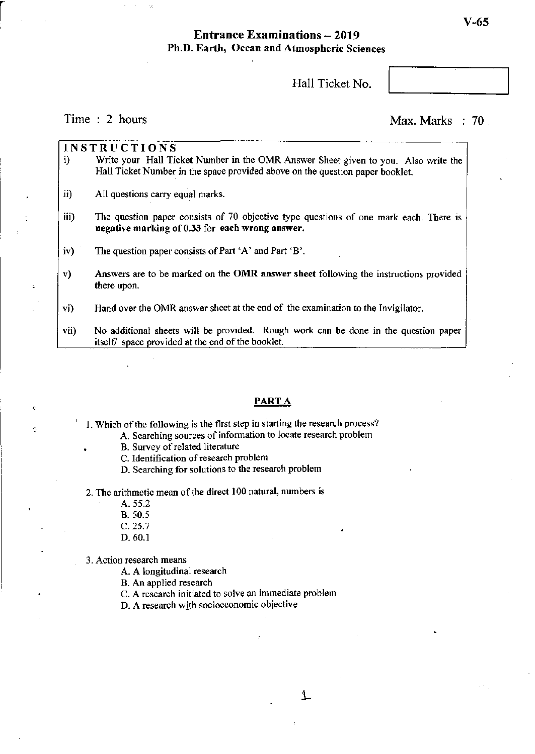# **Entrance Examinations - 2019** Ph.D. Earth, Ocean and Atmospheric Sciences

Hall Ticket No.

# Time : 2 hours

r

 $\tilde{\gamma}$ 

÷

Max. Marks 70

|      | <b>INSTRUCTIONS</b>                                                                                                                                                 |  |  |  |  |  |  |
|------|---------------------------------------------------------------------------------------------------------------------------------------------------------------------|--|--|--|--|--|--|
| i)   | Write your Hall Ticket Number in the OMR Answer Sheet given to you. Also write the<br>Hall Ticket Number in the space provided above on the question paper booklet. |  |  |  |  |  |  |
| ii)  | All questions carry equal marks.                                                                                                                                    |  |  |  |  |  |  |
| iii) | The question paper consists of 70 objective type questions of one mark each. There is<br>negative marking of 0.33 for each wrong answer.                            |  |  |  |  |  |  |
| iv)  | The question paper consists of Part 'A' and Part 'B'.                                                                                                               |  |  |  |  |  |  |
| v)   | Answers are to be marked on the OMR answer sheet following the instructions provided<br>there upon.                                                                 |  |  |  |  |  |  |
| vi)  | Hand over the OMR answer sheet at the end of the examination to the Invigilator.                                                                                    |  |  |  |  |  |  |
| vii) | No additional sheets will be provided. Rough work can be done in the question paper<br>itself/ space provided at the end of the booklet.                            |  |  |  |  |  |  |

### PART A

1

1. Which of the following is the first step in starting the research process?

- A. Searching sources of infonnation to locate research problem
	- B. Survey of related literature
	- C. Identification of research problem
	- D. Searching for solutions to the research problem

2. The arithmetic mean of the direct 100 natural, numbers is

A.55.2

- B.50.5
- C.25.7
- D.60.1

3. Action research means

A. A longitudinal research

B. An applied research

C. A research initiated to solve an immediate problem

D. A research with socioeconomic objective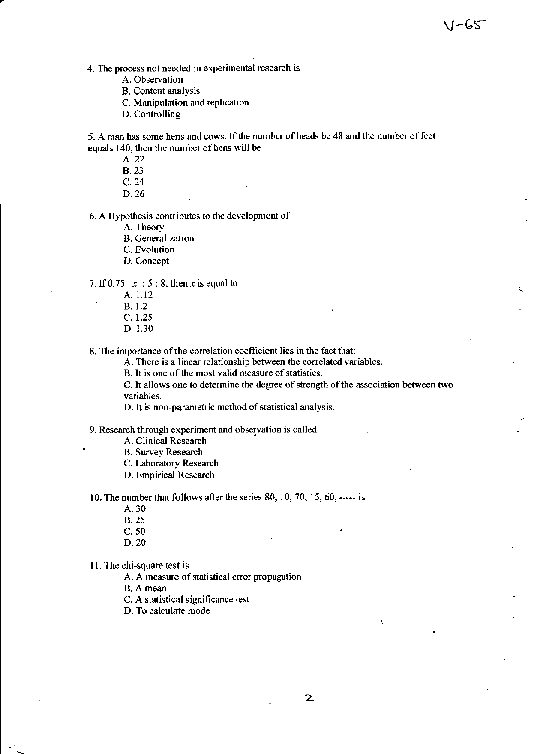- A. Observation
- B. Content analysis
- C. Manipulation and replication
- D. Controlling

5. A man has some hens and cows. If the number of heads be 48 and the number of feet equals 140, then the number of hens will be

 $V - 65$ 

A.22

- B. 23
- C.24
- D.26

6. A Hypothesis contributes to the development of

- A. Theory
- B. Generalization
- C. Evolution
- D. Concept

7. If  $0.75 : x :: 5 : 8$ , then x is equal to

- A. 1.12
- B. 1.2
- C. 1.25
- D.1.30

8. The importance of the correlation coefficient lies in the fact that:

A. There is a linear relationship between the correlated variables.

B. It is one of the most valid measure of statistics.

C. It allows one to determine the degree of strength of the association between two variables.

D. It is non-parametric method of statistical analysis.

9. Research through experiment and observation is called

- A. Clinical Research •
- B. Survey Research
- C. Laboratory Research
- D. Empirical Research

10. The number that follows after the series 80, 10, 70, 15, 60,  $\frac{15}{100}$  is

- A.30
- B. 25
- C. 50
- D.20
- 11. The chi-square test is

A. A measure of statistical error propagation

B. A mean

- C. A statistical significance test
- D. To calculate mode

çΜ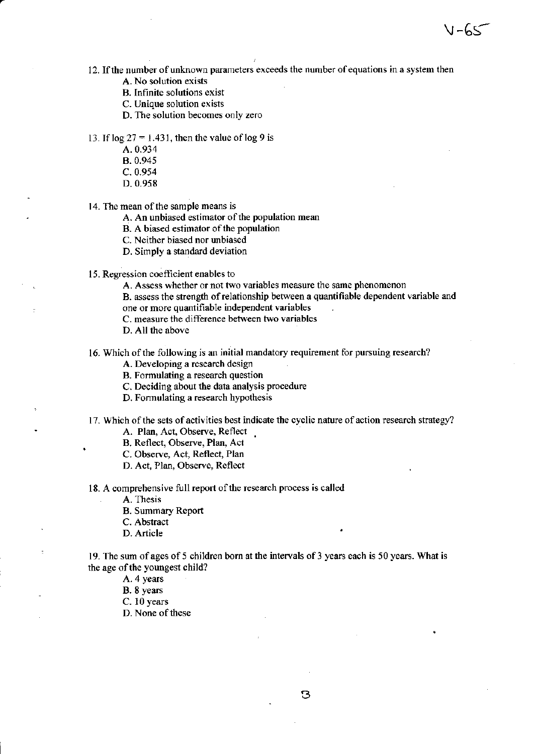12. If the number of unknown parameters exceeds the number of equations in a system then

 $\sim$ 

A. No solution exists

B. Infinite solutions exist

C. Unique solution exists

D. The solution becomes only zero

13. If  $log 27 = 1.431$ , then the value of  $log 9$  is

- A.0.934
- B.0.945
- C. 0.954
- D.0.958

14. The mean of the sample means is

A. An unbiased estimator of the population mean

B. A biased estimator of the population

C. Neither biased nor unbiased

D. Simply a standard deviation

15. Regression coefficient enables to

A. Assess whether or not two variables measure the same phenomenon

B. assess the strength of relationship between a quantifiable dependent variable and one or more quantifiable independent variables

C. measure the difference between two variables

D. All the above

16. Which of the following is an initial mandatory requirement for pursuing research?

A. Developing a research design

B. Formulating a research question

C. Deciding about the data analysis procedure

D. Formulating a research hypothesis

17. Which of the sets of activities best indicate the cyclic nature of action research strategy?

A. Plan, Act, Observe, Reflect .

B. Reflect, Observe, Plan, Act

C. Observe, Act, Reflect, Plan

D. Act, Plan, Observe, Reflect

18. A comprehensive full report of the research process is called

A. Thesis

B. Summary Report

C. Abstract

D. Article

19. The sum of ages of 5 children born at the intervals of 3 years each is 50 years. What is the age of the youngest child?

A. 4 years

B. 8 years

C. 10 years

D. None of these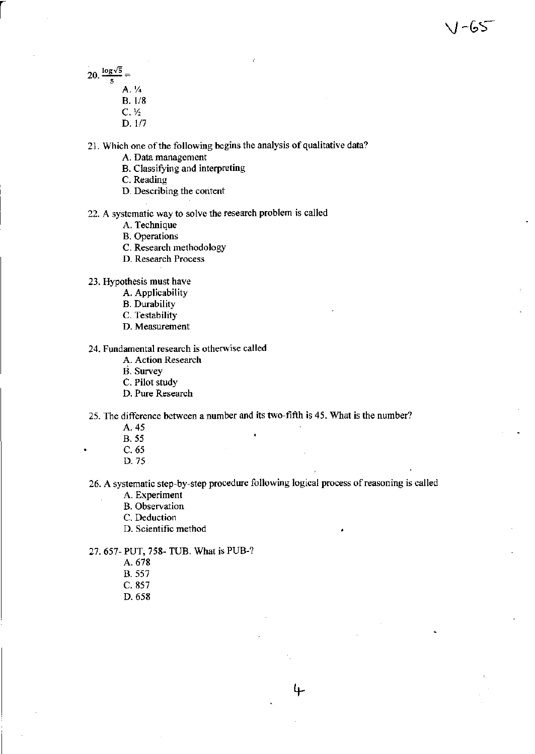$1 - 65$ 

 $20. \frac{\log \sqrt{5}}{5}$  = S

r

- A.<sup>1</sup>/<sub>4</sub> B.1/8
- C.  $\frac{1}{2}$
- D.l/7

21. Which one of the following begins the analysis of qualitative data?

- A. Data management
- B. Classifying and interpreting
- C. Reading
- D. Describing the content
- 22. A systematic way to solve the research problem is called
	- A. Technique
	- B. Operations
	- C. Research methodology
	- D. Research Process
- 23. Hypothesis must have
	- A. Applicability
	- B. Durability
	- C. Testability
	- D. Measurement

#### 24. Fundamental research is otherwise called

- A. Action Research
- B. Survey
- C. Pilot study
- D. Pure Research

25. The difference between a number and its two-fifth is 45. What is the number?

- A.45
- B.55
- C.65
- D.75

26. A systematic step-by-step procedure following logical process of reasoning is called

- A. Experiment
- B. Observation
- C. Deduction
- D. Scientific method
- 27. 657- PUT, 758- TUB. What is PUB-?
	- A. 678
		- B. 557
		- C.857
		- D.658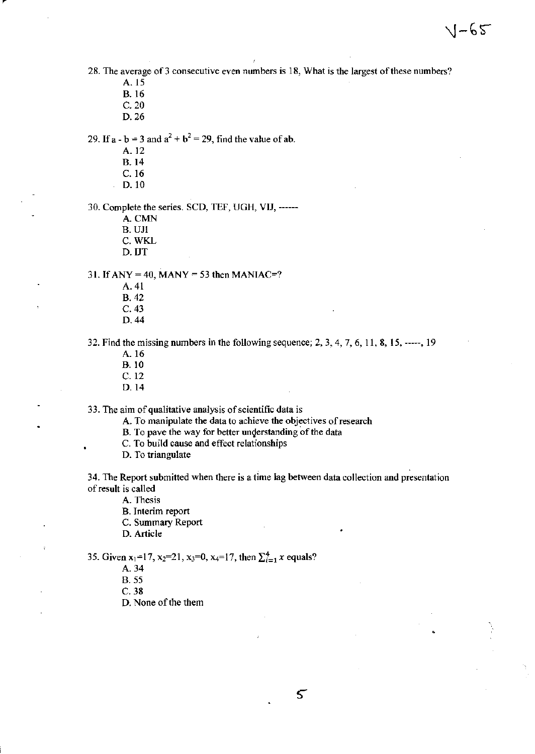28. The average of 3 consecutive even numbers is 18, What is the largest of these numbers?

- A.15
- B. 16
- C.20
- D.26

29. If  $a - b = 3$  and  $a^2 + b^2 = 29$ , find the value of ab.

- A.12
- B. 14
- C. 16
- D.1O

 $\mathcal{L}^{\mathcal{L}}$ 

30. Complete the series. SCD, TEF, UGH, VIJ, ------

- A. CMN B. U11
- C.WKL
- 
- D. IJT

31. If  $ANY = 40$ ,  $MANY = 53$  then  $MANIAC=?$ 

- A.41
- B.42
- C. 43
- D.44

32. Find the missing numbers in the following sequence; 2, 3, 4, 7, 6, 11, 8, 15, -----, 19

- A.16 B.IO C.12
- D.14

33. The aim of qualitative analysis of scientific data is

A. To manipulate the data to achieve the objectives of research

- B. To pave the way for better understanding of the data
- C. To build cause and effect relationships
- D. To triangulate

34. The Report submitted when there is a time lag between data collection and presentation of result is called

A. Thesis

B. Interim report

C. Summary Report

D. Article

35. Given  $x_1=17$ ,  $x_2=21$ ,  $x_3=0$ ,  $x_4=17$ , then  $\sum_{i=1}^{4} x$  equals?

A.34

B. 55

C.38

D. None of the them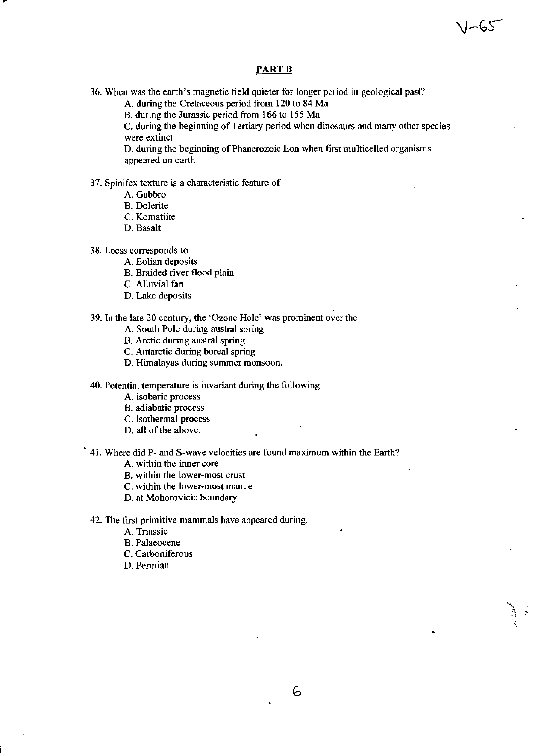PART **B** 

36. When was the earth's magnetic field quieter for longer period in geological past?

A. during the Cretaceous period from 120 to 84 Ma

B. during the Jurassic period from 166 to 155 Ma

C. during the beginning of Tertiary period when dinosaurs and many other species were extinct

 $1 - 65$ 

D. during the beginning of Phanerozoic Eon when first multicelled organisms appeared on earth

37. Spinifex texture is a characteristic feature of

- A. Gabbro
- B. Dolerite
- C. Komatiite
- D. Basalt
- 38. Loess corresponds to
	- A. Eolian deposits
	- B. Braided river flood plain
	- C. Alluvial fan
	- D. Lake deposits

## 39. In the late 20 century, the 'Ozone Hole' was prominent over the

- A. South Pole during austral spring
- B. Arctic during austral spring
- C. Antarctic during boreal spring
- D. Himalayas during summer monsoon.

40. Potential temperature is invariant during the following

- A. isobaric process
- B. adiabatic process
- C. isothermal process
- D. all of the above.

## ·41. Where did P- and S-wave velocities are found maximum within the Earth?

- A. within the inner core
- B. within the lower-most crust
- C. within the lower-most mantle
- D. at Mohorovicic boundary
- 42. The first primitive mammals have appeared during.
	- A. Triassic
	- B. Palaeocene
	- C. Carboniferous
	- D. Permian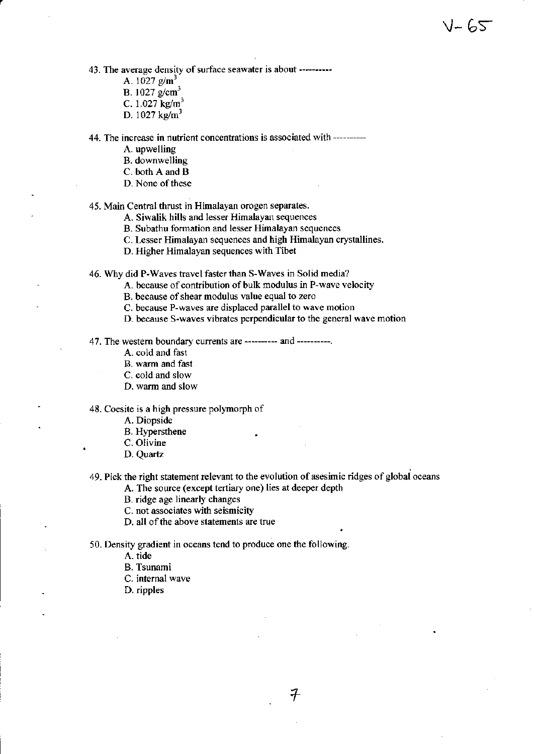- A.  $1027$  g/m<sup>3</sup>  $B. 1027 g/cm<sup>3</sup>$ C.  $1.027 \text{ kg/m}^3$
- D. 1027  $k\overline{g/m}^3$
- 

#### 44. The increase in nutrient concentrations is associated with ----------

- A. upwelling
- B. downwelling
- C. both A and B
- D. None of these

#### 45. Main Central thrust in Himalayan orogen separates.

- A. Siwalik hills and lesser Himalayan sequences
- B. Subathu formation and lesser Himalayan sequences
- C. Lesser Himalayan sequences and high Himalayan crystallines.

V-62

D. Higher Himalayan sequences with Tibet

46. Why did P-Waves travel faster than S-Waves in Solid media?

A. because of contribution of bulk modulus in P-wave velocity

B. because of shear modulus value equal to zero

C. because P-waves are displaced parallel to wave motion

D. because S-waves vibrates perpendicular to the general wave motion

47. The western boundary currents are ---------- and ----------.

- A. cold and fast
- B. warm and fast
- C. cold and slow
- D. warm and slow

48. Coesite is a high pressure polymorph of

A. Diopside

- B. Hypersthene
- C. Olivine
- D. Quartz

49. Pick the right statement relevant to the evolution of asesimic ridges of global oceans

 $\boldsymbol{\mathcal{F}}$ 

- A. The source (except tertiary one) lies at deeper depth
- B. ridge age linearly changes
- C. not associates with seismicity
- D. all of the above statements are true

50. Density gradient in oceans tend to produce one the following.

A. tide

- B. Tsunami
- C. internal wave
- D. ripples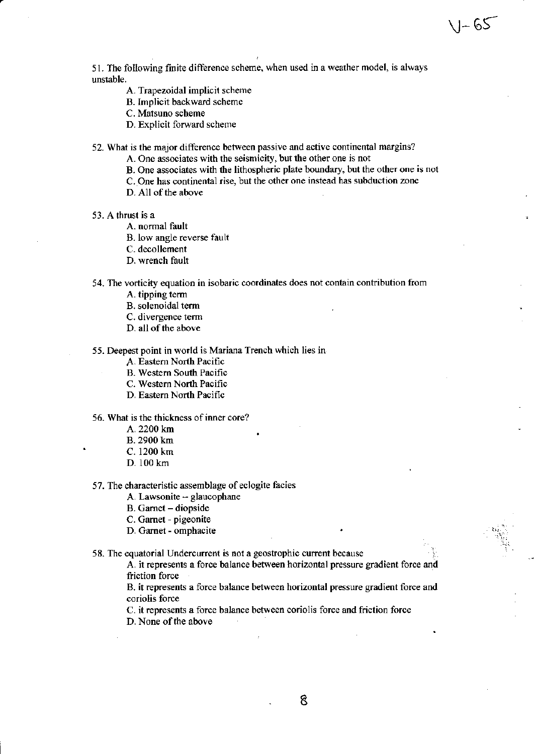51. The following finite difference scheme, when used in a weather model, is always unstable.

A. Trapezoidal implicit scheme

B. Implicit backward scheme

- C. Matsuno scheme
- D. Explicit forward scheme

52. What is the major difference between passive and active continental margins?

A. One associates with the seismicity, but the other one is not

B. One associates with the lithospheric plate boundary, but the other one is not

 $J - 65$ 

C. One has continental rise, but the other one instead has subduction zone

D. All of the above

53. A thrust is a

~-

A. normal fault

B. low angle reverse fault

- C. decollement
- D. wrench fault

54. The vorticity equation in isobaric coordinates does not contain contribution from

A. tipping term

B. solenoidal term

C. divergence term

D. all of the above

55. Deepest point in world is Mariana Trench which lies in

A. Eastern North Pacific

B. Western South Pacific

C. Western North Pacific

D. Eastern North Pacific

56. What is the thickness of inner core?

A. 2200 km

B.2900km

C. 1200 km

D. 100 km

57. The characteristic assemblage of eclogite facies

A. Lawsonite - glaucophane

B. Garnet - diopside

C. Garnet - pigeonite

D. Gamet - omphacite

58. The equatorial Undercurrent is not a geostrophic current because

A. it represents a force balance between horizontal pressure gradient force and friction force

B. it represents a force balance between horizontal pressure gradient force and coriolis force

C. it represents a force balance between coriolis force and friction force D. None of the above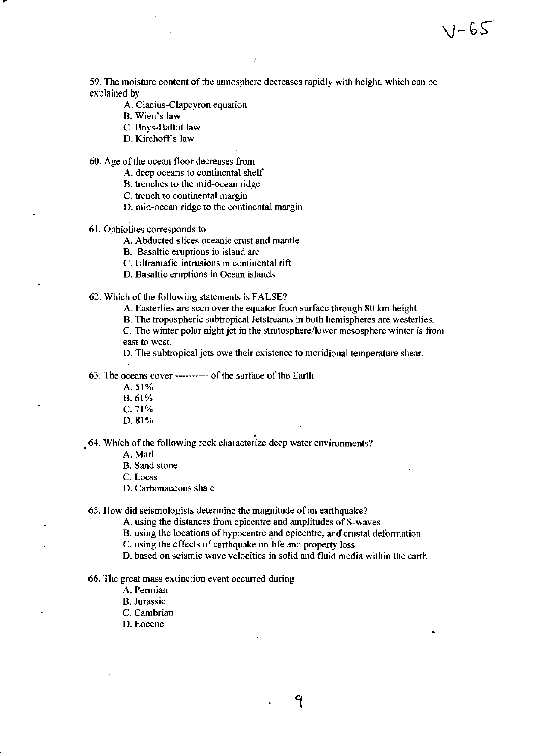59. The moisture content of the atmosphere decreases rapidly with height, which can be explained by

 $V - 65$ 

- A. Clacius-Clapeyron equation
- B. Wien's law
- C. Boys-Ballot law
- D. Kirchoff's law

60. Age of the ocean floor decreases from

A. deep oceans to continental shelf

B. trenches to the mid-ocean ridge

c. trench to continental margin

D. mid-ocean ridge to the continental margin

61. Ophiolites corresponds to

A. Abducted slices oceanic crust and mantle

B. Basaltic eruptions in island arc

C. Ultramafic intrusions in continental rift

D. Basaltic eruptions in Ocean islands

62. Which of the following statements is FALSE?

A. Easterlies are seen over the equator from surface through 80 km height

B. The tropospheric subtropical Jetstreams in both hemispheres are westerlies.

C. The winter polar night jet in the stratosphere/lower mesosphere winter is from east to west.

D. The subtropical jets owe their existence to meridional temperature shear.

63. The oceans cover ---------- of the surface of the Earth

A.51%

B. 61%

- C.71%
- D.81%

.64. Which of the following rock characterize deep water environments?

A. Marl

B. Sand stone

C. Loess

D. Carbonaceous shale

65. How did seismologists detennine the magnitude of an earthquake?

A. using the distances from epicentre and amplitudes of S-waves

B. using the locations of hypocentre and epicentre, and crustal deformation

C. using the effects of earthquake on life and property loss

D. based on seismic wave velocities in solid and fluid media within the earth

66. The great mass extinction event occurred during

A. Permian

B. Jurassic

C. Cambrian

D. Eocene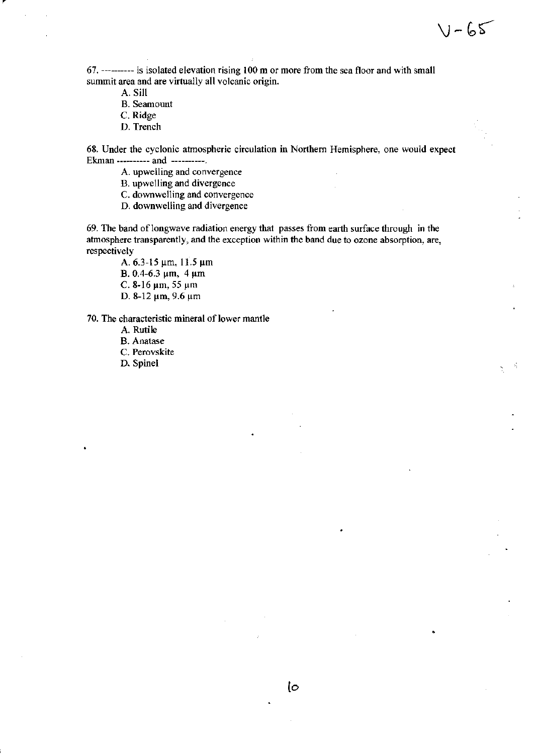67. ---------- is isolated elevation rising 100 m or more from the sea floor and with small summit area and are virtually all volcanic origin.

 $1 - 65$ 

A. Sill

- B. Seamount
- C. Ridge
- D. Trench

68. Under the cyclonic atmospheric circulation in Northern Hemisphere, one would expect Ekman ---------- and ----------.

A. upwelling and convergence

B. upwelling and divergence

C. downwelling and convergence

D. downwelling and divergence

69. The band of longwave radiation energy that passes from earth surface through in the atmosphere transparently, and the exception within the band due to ozone absorption, are, respectively

A.  $6.3-15 \mu m$ , 11.5  $\mu m$ 

B. 0.4-6.3  $\mu$ m, 4  $\mu$ m

C. 8-16  $\mu$ m, 55  $\mu$ m

D. 8-12  $\mu$ m, 9.6  $\mu$ m

70. The characteristic mineral of lower mantle

A. Rutile

B. Anatase

C. Perovskite

D. Spinel